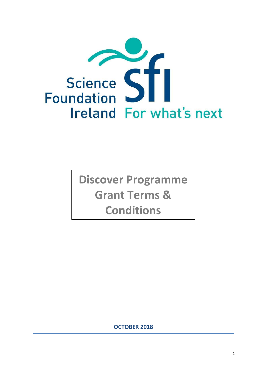

**Discover Programme Grant Terms & Conditions**

**OCTOBER 2018**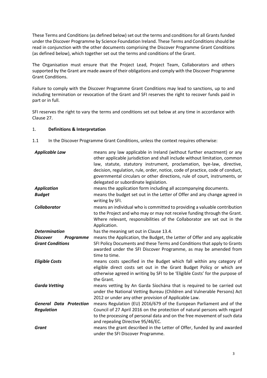These Terms and Conditions (as defined below) set out the terms and conditions for all Grants funded under the Discover Programme by Science Foundation Ireland. These Terms and Conditions should be read in conjunction with the other documents comprising the Discover Programme Grant Conditions (as defined below), which together set out the terms and conditions of the Grant.

The Organisation must ensure that the Project Lead, Project Team, Collaborators and others supported by the Grant are made aware of their obligations and comply with the Discover Programme Grant Conditions.

Failure to comply with the Discover Programme Grant Conditions may lead to sanctions, up to and including termination or revocation of the Grant and SFI reserves the right to recover funds paid in part or in full.

SFI reserves the right to vary the terms and conditions set out below at any time in accordance with Clause [27.](#page-20-0)

## 1. **Definitions & Interpretation**

1.1 In the Discover Programme Grant Conditions, unless the context requires otherwise:

| <b>Applicable Law</b>                                          | means any law applicable in Ireland (without further enactment) or any<br>other applicable jurisdiction and shall include without limitation, common<br>law, statute, statutory instrument, proclamation, bye-law, directive,<br>decision, regulation, rule, order, notice, code of practice, code of conduct,<br>governmental circulars or other directions, rule of court, instruments, or<br>delegated or subordinate legislation. |
|----------------------------------------------------------------|---------------------------------------------------------------------------------------------------------------------------------------------------------------------------------------------------------------------------------------------------------------------------------------------------------------------------------------------------------------------------------------------------------------------------------------|
| <b>Application</b>                                             | means the application form including all accompanying documents.                                                                                                                                                                                                                                                                                                                                                                      |
| <b>Budget</b>                                                  | means the budget set out in the Letter of Offer and any change agreed in<br>writing by SFI.                                                                                                                                                                                                                                                                                                                                           |
| <b>Collaborator</b>                                            | means an individual who is committed to providing a valuable contribution<br>to the Project and who may or may not receive funding through the Grant.<br>Where relevant, responsibilities of the Collaborator are set out in the<br>Application.                                                                                                                                                                                      |
| <b>Determination</b>                                           | has the meaning set out in Clause 13.4.                                                                                                                                                                                                                                                                                                                                                                                               |
| <b>Discover</b><br><b>Programme</b><br><b>Grant Conditions</b> | means the Application, the Budget, the Letter of Offer and any applicable<br>SFI Policy Documents and these Terms and Conditions that apply to Grants<br>awarded under the SFI Discover Programme, as may be amended from<br>time to time.                                                                                                                                                                                            |
| <b>Eligible Costs</b>                                          | means costs specified in the Budget which fall within any category of<br>eligible direct costs set out in the Grant Budget Policy or which are<br>otherwise agreed in writing by SFI to be 'Eligible Costs' for the purpose of<br>the Grant.                                                                                                                                                                                          |
| <b>Garda Vetting</b>                                           | means vetting by An Garda Síochána that is required to be carried out<br>under the National Vetting Bureau (Children and Vulnerable Persons) Act<br>2012 or under any other provision of Applicable Law.                                                                                                                                                                                                                              |
| <b>General Data Protection</b>                                 | means Regulation (EU) 2016/679 of the European Parliament and of the                                                                                                                                                                                                                                                                                                                                                                  |
| <b>Regulation</b>                                              | Council of 27 April 2016 on the protection of natural persons with regard<br>to the processing of personal data and on the free movement of such data<br>and repealing Directive 95/46/EC.                                                                                                                                                                                                                                            |
| <b>Grant</b>                                                   | means the grant described in the Letter of Offer, funded by and awarded<br>under the SFI Discover Programme.                                                                                                                                                                                                                                                                                                                          |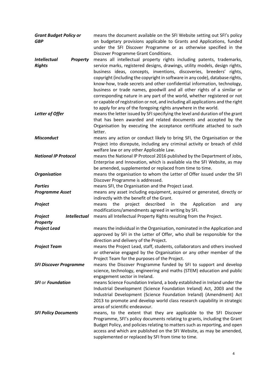| <b>Grant Budget Policy or</b><br><b>GBP</b>             | means the document available on the SFI Website setting out SFI's policy<br>on budgetary provisions applicable to Grants and Applications, funded<br>under the SFI Discover Programme or as otherwise specified in the<br>Discover Programme Grant Conditions.                                                                                                                                                                                                                                                                                                                                                                                                                                       |
|---------------------------------------------------------|------------------------------------------------------------------------------------------------------------------------------------------------------------------------------------------------------------------------------------------------------------------------------------------------------------------------------------------------------------------------------------------------------------------------------------------------------------------------------------------------------------------------------------------------------------------------------------------------------------------------------------------------------------------------------------------------------|
| <b>Intellectual</b><br><b>Property</b><br><b>Rights</b> | means all intellectual property rights including patents, trademarks,<br>service marks, registered designs, drawings, utility models, design rights,<br>business ideas, concepts, inventions, discoveries, breeders' rights,<br>copyright (including the copyright in software in any code), database rights,<br>know-how, trade secrets and other confidential information, technology,<br>business or trade names, goodwill and all other rights of a similar or<br>corresponding nature in any part of the world, whether registered or not<br>or capable of registration or not, and including all applications and the right<br>to apply for any of the foregoing rights anywhere in the world. |
| Letter of Offer                                         | means the letter issued by SFI specifying the level and duration of the grant<br>that has been awarded and related documents and accepted by the<br>Organisation by executing the acceptance certificate attached to such<br>letter.                                                                                                                                                                                                                                                                                                                                                                                                                                                                 |
| <b>Misconduct</b>                                       | means any action or conduct likely to bring SFI, the Organisation or the<br>Project into disrepute, including any criminal activity or breach of child<br>welfare law or any other Applicable Law.                                                                                                                                                                                                                                                                                                                                                                                                                                                                                                   |
| <b>National IP Protocol</b>                             | means the National IP Protocol 2016 published by the Department of Jobs,<br>Enterprise and Innovation, which is available via the SFI Website, as may<br>be amended, supplemented or replaced from time to time.                                                                                                                                                                                                                                                                                                                                                                                                                                                                                     |
| <b>Organisation</b>                                     | means the organisation to whom the Letter of Offer issued under the SFI<br>Discover Programme is addressed.                                                                                                                                                                                                                                                                                                                                                                                                                                                                                                                                                                                          |
| <b>Parties</b>                                          | means SFI, the Organisation and the Project Lead.                                                                                                                                                                                                                                                                                                                                                                                                                                                                                                                                                                                                                                                    |
| <b>Programme Asset</b>                                  | means any asset including equipment, acquired or generated, directly or<br>indirectly with the benefit of the Grant.                                                                                                                                                                                                                                                                                                                                                                                                                                                                                                                                                                                 |
| Project                                                 | the<br>project<br>described in the<br>means<br>Application<br>and<br>any<br>modifications/amendments agreed in writing by SFI.                                                                                                                                                                                                                                                                                                                                                                                                                                                                                                                                                                       |
| <b>Intellectual</b><br>Project                          | means all Intellectual Property Rights resulting from the Project.                                                                                                                                                                                                                                                                                                                                                                                                                                                                                                                                                                                                                                   |
| <b>Property</b>                                         |                                                                                                                                                                                                                                                                                                                                                                                                                                                                                                                                                                                                                                                                                                      |
| <b>Project Lead</b>                                     | means the individual in the Organisation, nominated in the Application and<br>approved by SFI in the Letter of Offer, who shall be responsible for the<br>direction and delivery of the Project.                                                                                                                                                                                                                                                                                                                                                                                                                                                                                                     |
| <b>Project Team</b>                                     | means the Project Lead, staff, students, collaborators and others involved<br>or otherwise engaged by the Organisation or any other member of the<br>Project Team for the purposes of the Project.                                                                                                                                                                                                                                                                                                                                                                                                                                                                                                   |
| <b>SFI Discover Programme</b>                           | means the Discover Programme funded by SFI to support and develop<br>science, technology, engineering and maths (STEM) education and public<br>engagement sector in Ireland.                                                                                                                                                                                                                                                                                                                                                                                                                                                                                                                         |
| <b>SFI or Foundation</b>                                | means Science Foundation Ireland, a body established in Ireland under the<br>Industrial Development (Science Foundation Ireland) Act, 2003 and the<br>Industrial Development (Science Foundation Ireland) (Amendment) Act<br>2013 to promote and develop world class research capability in strategic<br>areas of scientific endeavour.                                                                                                                                                                                                                                                                                                                                                              |
| <b>SFI Policy Documents</b>                             | means, to the extent that they are applicable to the SFI Discover<br>Programme, SFI's policy documents relating to grants, including the Grant<br>Budget Policy, and policies relating to matters such as reporting, and open<br>access and which are published on the SFI Website, as may be amended,<br>supplemented or replaced by SFI from time to time.                                                                                                                                                                                                                                                                                                                                         |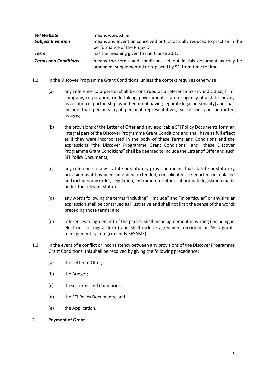| <b>SFI Website</b>          | means www.sfi.ie.                                                                                                                |
|-----------------------------|----------------------------------------------------------------------------------------------------------------------------------|
| <b>Subject Invention</b>    | means any invention conceived or first actually reduced to practise in the<br>performance of the Project.                        |
| Term                        | has the meaning given to it in Clause 20.1.                                                                                      |
| <b>Terms and Conditions</b> | means the terms and conditions set out in this document as may be<br>amended, supplemented or replaced by SFI from time to time. |

- 1.2 In the Discover Programme Grant Conditions, unless the context requires otherwise:
	- (a) any reference to a person shall be construed as a reference to any individual, firm, company, corporation, undertaking, government, state or agency of a state, or any association or partnership (whether or not having separate legal personality) and shall include that person's legal personal representatives, successors and permitted assigns;
	- (b) the provisions of the Letter of Offer and any applicable SFI Policy Documents form an integral part of the Discover Programme Grant Conditions and shall have as full effect as if they were incorporated in the body of these Terms and Conditions and the expressions "the Discover Programme Grant Conditions" and "these Discover Programme Grant Conditions" shall be deemed to include the Letter of Offer and such SFI Policy Documents;
	- (c) any reference to any statute or statutory provision means that statute or statutory provision as it has been amended, extended, consolidated, re-enacted or replaced and includes any order, regulation, instrument or other subordinate legislation made under the relevant statute;
	- (d) any words following the terms "including", "include" and "in particular" or any similar expression shall be construed as illustrative and shall not limit the sense of the words preceding those terms; and
	- (e) references to agreement of the parties shall mean agreement in writing (including in electronic or digital form) and shall include agreement recorded on SFI's grants management system (currently SESAME).
- 1.3 In the event of a conflict or inconsistency between any provisions of the Discover Programme Grant Conditions, this shall be resolved by giving the following precedence:
	- (a) the Letter of Offer;
	- (b) the Budget;
	- (c) these Terms and Conditions;
	- (d) the SFI Policy Documents; and
	- (e) the Application.

## 2. **Payment of Grant**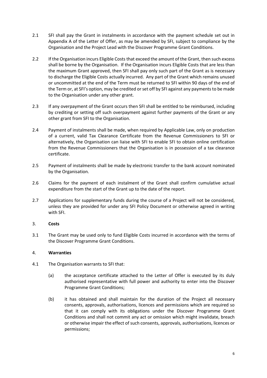- 2.1 SFI shall pay the Grant in instalments in accordance with the payment schedule set out in Appendix A of the Letter of Offer, as may be amended by SFI, subject to compliance by the Organisation and the Project Lead with the Discover Programme Grant Conditions.
- 2.2 If the Organisation incurs Eligible Costs that exceed the amount of the Grant, then such excess shall be borne by the Organisation. If the Organisation incurs Eligible Costs that are less than the maximum Grant approved, then SFI shall pay only such part of the Grant as is necessary to discharge the Eligible Costs actually incurred. Any part of the Grant which remains unused or uncommitted at the end of the Term must be returned to SFI within 90 days of the end of the Term or, at SFI's option, may be credited or set off by SFI against any payments to be made to the Organisation under any other grant.
- 2.3 If any overpayment of the Grant occurs then SFI shall be entitled to be reimbursed, including by crediting or setting off such overpayment against further payments of the Grant or any other grant from SFI to the Organisation.
- 2.4 Payment of instalments shall be made, when required by Applicable Law, only on production of a current, valid Tax Clearance Certificate from the Revenue Commissioners to SFI or alternatively, the Organisation can liaise with SFI to enable SFI to obtain online certification from the Revenue Commissioners that the Organisation is in possession of a tax clearance certificate.
- 2.5 Payment of instalments shall be made by electronic transfer to the bank account nominated by the Organisation.
- 2.6 Claims for the payment of each instalment of the Grant shall confirm cumulative actual expenditure from the start of the Grant up to the date of the report.
- 2.7 Applications for supplementary funds during the course of a Project will not be considered, unless they are provided for under any SFI Policy Document or otherwise agreed in writing with SFI.

# 3. **Costs**

3.1 The Grant may be used only to fund Eligible Costs incurred in accordance with the terms of the Discover Programme Grant Conditions.

# 4. **Warranties**

- 4.1 The Organisation warrants to SFI that:
	- (a) the acceptance certificate attached to the Letter of Offer is executed by its duly authorised representative with full power and authority to enter into the Discover Programme Grant Conditions;
	- (b) it has obtained and shall maintain for the duration of the Project all necessary consents, approvals, authorisations, licences and permissions which are required so that it can comply with its obligations under the Discover Programme Grant Conditions and shall not commit any act or omission which might invalidate, breach or otherwise impair the effect of such consents, approvals, authorisations, licences or permissions;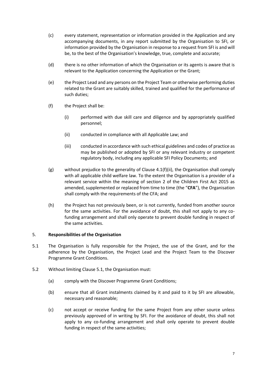- (c) every statement, representation or information provided in the Application and any accompanying documents, in any report submitted by the Organisation to SFI, or information provided by the Organisation in response to a request from SFI is and will be, to the best of the Organisation's knowledge, true, complete and accurate;
- (d) there is no other information of which the Organisation or its agents is aware that is relevant to the Application concerning the Application or the Grant;
- (e) the Project Lead and any persons on the Project Team or otherwise performing duties related to the Grant are suitably skilled, trained and qualified for the performance of such duties;
- <span id="page-5-0"></span>(f) the Project shall be:
	- (i) performed with due skill care and diligence and by appropriately qualified personnel;
	- (ii) conducted in compliance with all Applicable Law; and
	- (iii) conducted in accordance with such ethical guidelines and codes of practice as may be published or adopted by SFI or any relevant industry or competent regulatory body, including any applicable SFI Policy Documents; and
- (g) without prejudice to the generality of Clause  $4.1(f)(ii)$ , the Organisation shall comply with all applicable child welfare law. To the extent the Organisation is a provider of a relevant service within the meaning of section 2 of the Children First Act 2015 as amended, supplemented or replaced from time to time (the "**CFA**"), the Organisation shall comply with the requirements of the CFA; and
- (h) the Project has not previously been, or is not currently, funded from another source for the same activities. For the avoidance of doubt, this shall not apply to any cofunding arrangement and shall only operate to prevent double funding in respect of the same activities.

## 5. **Responsibilities of the Organisation**

- <span id="page-5-1"></span>5.1 The Organisation is fully responsible for the Project, the use of the Grant, and for the adherence by the Organisation*,* the Project Lead and the Project Team to the Discover Programme Grant Conditions.
- 5.2 Without limiting Clause [5.1,](#page-5-1) the Organisation must:
	- (a) comply with the Discover Programme Grant Conditions;
	- (b) ensure that all Grant instalments claimed by it and paid to it by SFI are allowable, necessary and reasonable;
	- (c) not accept or receive funding for the same Project from any other source unless previously approved of in writing by SFI. For the avoidance of doubt, this shall not apply to any co-funding arrangement and shall only operate to prevent double funding in respect of the same activities;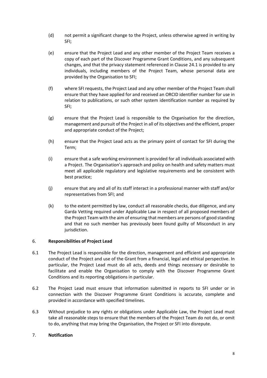- (d) not permit a significant change to the Project, unless otherwise agreed in writing by SFI;
- (e) ensure that the Project Lead and any other member of the Project Team receives a copy of each part of the Discover Programme Grant Conditions, and any subsequent changes, and that the privacy statement referenced in Clause [24.1](#page-19-0) is provided to any individuals, including members of the Project Team, whose personal data are provided by the Organisation to SFI;
- (f) where SFI requests, the Project Lead and any other member of the Project Team shall ensure that they have applied for and received an ORCID identifier number for use in relation to publications, or such other system identification number as required by SFI;
- (g) ensure that the Project Lead is responsible to the Organisation for the direction, management and pursuit of the Project in all of its objectives and the efficient, proper and appropriate conduct of the Project;
- (h) ensure that the Project Lead acts as the primary point of contact for SFI during the Term;
- (i) ensure that a safe working environment is provided for all individuals associated with a Project. The Organisation's approach and policy on health and safety matters must meet all applicable regulatory and legislative requirements and be consistent with best practice;
- (j) ensure that any and all of its staff interact in a professional manner with staff and/or representatives from SFI; and
- (k) to the extent permitted by law, conduct all reasonable checks, due diligence, and any Garda Vetting required under Applicable Law in respect of all proposed members of the Project Team with the aim of ensuring that members are persons of good standing and that no such member has previously been found guilty of Misconduct in any jurisdiction.

## 6. **Responsibilities of Project Lead**

- 6.1 The Project Lead is responsible for the direction, management and efficient and appropriate conduct of the Project and use of the Grant from a financial, legal and ethical perspective. In particular, the Project Lead must do all acts, deeds and things necessary or desirable to facilitate and enable the Organisation to comply with the Discover Programme Grant Conditions and its reporting obligations in particular.
- 6.2 The Project Lead must ensure that information submitted in reports to SFI under or in connection with the Discover Programme Grant Conditions is accurate, complete and provided in accordance with specified timelines.
- 6.3 Without prejudice to any rights or obligations under Applicable Law, the Project Lead must take all reasonable steps to ensure that the members of the Project Team do not do, or omit to do, anything that may bring the Organisation, the Project or SFI into disrepute.

# 7. **Notification**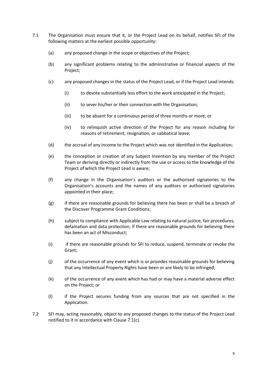- <span id="page-7-0"></span>7.1 The Organisation must ensure that it, or the Project Lead on its behalf, notifies SFI of the following matters at the earliest possible opportunity:
	- (a) any proposed change in the scope or objectives of the Project;
	- (b) any significant problems relating to the administrative or financial aspects of the Project;
	- (c) any proposed changes in the status of the Project Lead, or if the Project Lead intends:
		- (i) to devote substantially less effort to the work anticipated in the Project;
		- (ii) to sever his/her or their connection with the Organisation;
		- (iii) to be absent for a continuous period of three months or more; or
		- (iv) to relinquish active direction of the Project for any reason including for reasons of retirement, resignation, or sabbatical leave;
	- (d) the accrual of any income to the Project which was not identified in the Application;
	- (e) the conception or creation of any Subject Invention by any member of the Project Team or deriving directly or indirectly from the use or access to the knowledge of the Project of which the Project Lead is aware;
	- (f) any change in the Organisation's auditors or the authorised signatories to the Organisation's accounts and the names of any auditors or authorised signatories appointed in their place;
	- (g) if there are reasonable grounds for believing there has been or shall be a breach of the Discover Programme Grant Conditions;
	- (h) subject to compliance with Applicable Law relating to natural justice, fair procedures, defamation and data protection, if there are reasonable grounds for believing there has been an act of Misconduct;
	- (i) if there are reasonable grounds for SFI to reduce, suspend, terminate or revoke the Grant;
	- (j) of the occurrence of any event which is or provides reasonable grounds for believing that any Intellectual Property Rights have been or are likely to be infringed;
	- (k) of the occurrence of any event which has had or may have a material adverse effect on the Project; or
	- (l) if the Project secures funding from any sources that are not specified in the Application.
- 7.2 SFI may, acting reasonably, object to any proposed changes to the status of the Project Lead notified to it in accordance with Claus[e 7.1\(c\).](#page-7-0)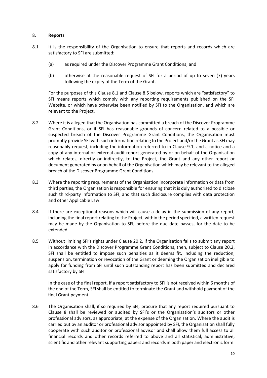## <span id="page-8-2"></span>8. **Reports**

- <span id="page-8-0"></span>8.1 It is the responsibility of the Organisation to ensure that reports and records which are satisfactory to SFI are submitted:
	- (a) as required under the Discover Programme Grant Conditions; and
	- (b) otherwise at the reasonable request of SFI for a period of up to seven (7) years following the expiry of the Term of the Grant.

For the purposes of this Clause [8.1](#page-8-0) and Clause [8.5](#page-8-1) below, reports which are "satisfactory" to SFI means reports which comply with any reporting requirements published on the SFI Website, or which have otherwise been notified by SFI to the Organisation, and which are relevant to the Project.

- 8.2 Where it is alleged that the Organisation has committed a breach of the Discover Programme Grant Conditions, or if SFI has reasonable grounds of concern related to a possible or suspected breach of the Discover Programme Grant Conditions, the Organisation must promptly provide SFI with such information relating to the Project and/or the Grant as SFI may reasonably request, including the information referred to in Clause [9.1,](#page-9-0) and a notice and a copy of any internal or external audit report generated by or on behalf of the Organisation which relates, directly or indirectly, to the Project, the Grant and any other report or document generated by or on behalf of the Organisation which may be relevant to the alleged breach of the Discover Programme Grant Conditions.
- 8.3 Where the reporting requirements of the Organisation incorporate information or data from third parties, the Organisation is responsible for ensuring that it is duly authorised to disclose such third-party information to SFI, and that such disclosure complies with data protection and other Applicable Law.
- 8.4 If there are exceptional reasons which will cause a delay in the submission of any report, including the final report relating to the Project, within the period specified, a written request may be made by the Organisation to SFI, before the due date passes, for the date to be extended.
- <span id="page-8-1"></span>8.5 Without limiting SFI's rights under Clause [20.2,](#page-15-1) if the Organisation fails to submit any report in accordance with the Discover Programme Grant Conditions, then, subject to Clause [20.2,](#page-15-1) SFI shall be entitled to impose such penalties as it deems fit, including the reduction, suspension, termination or revocation of the Grant or deeming the Organisation ineligible to apply for funding from SFI until such outstanding report has been submitted and declared satisfactory by SFI.

In the case of the final report, if a report satisfactory to SFI is not received within 6 months of the end of the Term, SFI shall be entitled to terminate the Grant and withhold payment of the final Grant payment.

8.6 The Organisation shall, if so required by SFI, procure that any report required pursuant to Clause [8](#page-8-2) shall be reviewed or audited by SFI's or the Organisation's auditors or other professional advisors, as appropriate, at the expense of the Organisation. Where the audit is carried out by an auditor or professional advisor appointed by SFI, the Organisation shall fully cooperate with such auditor or professional advisor and shall allow them full access to all financial records and other records referred to above and all statistical, administrative, scientific and other relevant supporting papers and records in both paper and electronic form.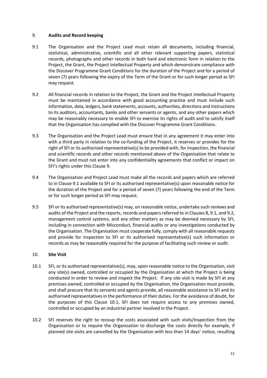## <span id="page-9-1"></span>9. **Audits and Record keeping**

- <span id="page-9-0"></span>9.1 The Organisation and the Project Lead must retain all documents, including financial, statistical, administrative, scientific and all other relevant supporting papers, statistical records, photographs and other records in both hard and electronic form in relation to the Project, the Grant, the Project Intellectual Property and which demonstrate compliance with the Discover Programme Grant Conditions for the duration of the Project and for a period of seven (7) years following the expiry of the Term of the Grant or for such longer period as SFI may request.
- <span id="page-9-2"></span>9.2 All financial records in relation to the Project, the Grant and the Project Intellectual Property must be maintained in accordance with good accounting practice and must include such information, data, ledgers, bank statements, accounts, authorities, directions and instructions to its auditors, accountants, banks and other servants or agents, and any other papers which may be reasonably necessary to enable SFI to exercise its rights of audit and to satisfy itself that the Organisation has complied with the Discover Programme Grant Conditions.
- 9.3 The Organisation and the Project Lead must ensure that in any agreement it may enter into with a third party in relation to the co-funding of the Project, it reserves or provides for the right of SFI or its authorised representative(s) to be provided with, for inspection, the financial and scientific records and other records mentioned above of the Organisation that relate to the Grant and must not enter into any confidentiality agreements that conflict or impact on SFI's rights under this Clause [9.](#page-9-1)
- 9.4 The Organisation and Project Lead must make all the records and papers which are referred to in Clause [9.1](#page-9-0) available to SFI or its authorised representative(s) upon reasonable notice for the duration of the Project and for a period of seven (7) years following the end of the Term or for such longer period as SFI may request.
- 9.5 SFI or its authorised representative(s) may, on reasonable notice, undertake such reviews and audits of the Project and the reports, records and papers referred to in Clause[s 8,](#page-8-2) [9.1,](#page-9-0) an[d 9.2,](#page-9-2) management control systems, and any other matters as may be deemed necessary by SFI, including in connection with Misconduct, financial audits or any investigations conducted by the Organisation. The Organisation must cooperate fully, comply with all reasonable requests and provide for inspection to SFI or its authorised representative(s) such information or records as may be reasonably required for the purpose of facilitating such review or audit.

# <span id="page-9-4"></span>10. **Site Visit**

- <span id="page-9-3"></span>10.1 SFI, or its authorised representative(s), may, upon reasonable notice to the Organisation, visit any site(s) owned, controlled or occupied by the Organisation at which the Project is being conducted in order to review and inspect the Project. If any site visit is made by SFI at any premises owned, controlled or occupied by the Organisation, the Organisation must provide, and shall procure that its servants and agents provide, all reasonable assistance to SFI and its authorised representatives in the performance of their duties. For the avoidance of doubt, for the purposes of this Clause [10.1,](#page-9-3) SFI does not require access to any premises owned, controlled or occupied by an industrial partner involved in the Project.
- 10.2 SFI reserves the right to recoup the costs associated with such visits/inspection from the Organisation or to require the Organisation to discharge the costs directly for example, if planned site visits are cancelled by the Organisation with less than 14 days' notice, resulting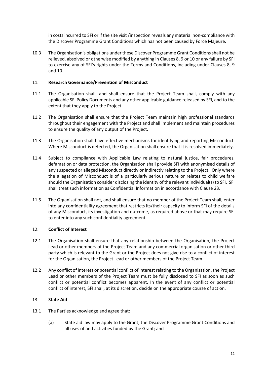in costs incurred to SFI or if the site visit /inspection reveals any material non-compliance with the Discover Programme Grant Conditions which has not been caused by Force Majeure.

10.3 The Organisation's obligations under these Discover Programme Grant Conditionsshall not be relieved, absolved or otherwise modified by anything in Clauses [8,](#page-8-2) [9](#page-9-1) or [10](#page-9-4) or any failure by SFI to exercise any of SFI's rights under the Terms and Conditions, including under Clauses [8,](#page-8-2) [9](#page-9-1) and [10.](#page-9-4)

## 11. **Research Governance/Prevention of Misconduct**

- 11.1 The Organisation shall, and shall ensure that the Project Team shall, comply with any applicable SFI Policy Documents and any other applicable guidance released by SFI, and to the extent that they apply to the Project.
- 11.2 The Organisation shall ensure that the Project Team maintain high professional standards throughout their engagement with the Project and shall implement and maintain procedures to ensure the quality of any output of the Project.
- 11.3 The Organisation shall have effective mechanisms for identifying and reporting Misconduct. Where Misconduct is detected, the Organisation shall ensure that it is resolved immediately.
- 11.4 Subject to compliance with Applicable Law relating to natural justice, fair procedures, defamation or data protection, the Organisation shall provide SFI with anonymised details of any suspected or alleged Misconduct directly or indirectly relating to the Project. Only where the allegation of Misconduct is of a particularly serious nature or relates to child welfare should the Organisation consider disclosing the identity of the relevant individual(s) to SFI. SFI shall treat such information as Confidential Information in accordance with Clause [23.](#page-17-0)
- 11.5 The Organisation shall not, and shall ensure that no member of the Project Team shall, enter into any confidentiality agreement that restricts its/their capacity to inform SFI of the details of any Misconduct, its investigation and outcome, as required above or that may require SFI to enter into any such confidentiality agreement.

## 12. **Conflict of Interest**

- 12.1 The Organisation shall ensure that any relationship between the Organisation, the Project Lead or other members of the Project Team and any commercial organisation or other third party which is relevant to the Grant or the Project does not give rise to a conflict of interest for the Organisation, the Project Lead or other members of the Project Team.
- 12.2 Any conflict of interest or potential conflict of interest relating to the Organisation, the Project Lead or other members of the Project Team must be fully disclosed to SFI as soon as such conflict or potential conflict becomes apparent. In the event of any conflict or potential conflict of interest, SFI shall, at its discretion, decide on the appropriate course of action.

## <span id="page-10-0"></span>13. **State Aid**

- 13.1 The Parties acknowledge and agree that:
	- (a) State aid law may apply to the Grant, the Discover Programme Grant Conditions and all uses of and activities funded by the Grant; and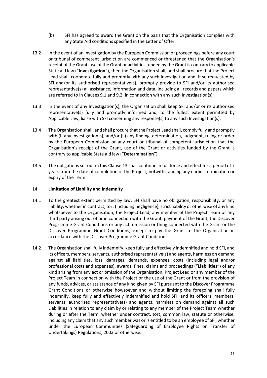- (b) SFI has agreed to award the Grant on the basis that the Organisation complies with any State Aid conditions specified in the Letter of Offer.
- 13.2 In the event of an investigation by the European Commission or proceedings before any court or tribunal of competent jurisdiction are commenced or threatened that the Organisation's receipt of the Grant, use of the Grant or activities funded by the Grant is contrary to applicable State aid law ("**Investigation**"), then the Organisation shall, and shall procure that the Project Lead shall, cooperate fully and promptly with any such Investigation and, if so requested by SFI and/or its authorised representative(s), promptly provide to SFI and/or its authorised representative(s) all assistance, information and data, including all records and papers which are referred to in Clause[s 9.1](#page-9-0) and [9.2,](#page-9-2) in connection with any such Investigation(s);
- 13.3 In the event of any Investigation(s), the Organisation shall keep SFI and/or or its authorised representative(s) fully and promptly informed and, to the fullest extent permitted by Applicable Law, liaise with SFI concerning any response(s) to any such Investigation(s).
- <span id="page-11-0"></span>13.4 The Organisation shall, and shall procure that the Project Lead shall, comply fully and promptly with (i) any Investigation(s); and/or (ii) any finding, determination, judgment, ruling or order by the European Commission or any court or tribunal of competent jurisdiction that the Organisation's receipt of the Grant, use of the Grant or activities funded by the Grant is contrary to applicable State aid law ("**Determination**").
- 13.5 The obligations set out in this Clause [13](#page-10-0) shall continue in full force and effect for a period of 7 years from the date of completion of the Project, notwithstanding any earlier termination or expiry of the Term.

## 14. **Limitation of Liability and Indemnity**

- 14.1 To the greatest extent permitted by law, SFI shall have no obligation, responsibility, or any liability, whether in contract, tort (including negligence), strict liability or otherwise of any kind whatsoever to the Organisation, the Project Lead, any member of the Project Team or any third party arising out of or in connection with the Grant, payment of the Grant, the Discover Programme Grant Conditions or any act, omission or thing connected with the Grant or the Discover Programme Grant Conditions, except to pay the Grant to the Organisation in accordance with the Discover Programme Grant Conditions.
- 14.2 The Organisation shall fully indemnify, keep fully and effectively indemnified and hold SFI, and its officers, members, servants, authorised representative(s) and agents, harmless on demand against all liabilities, loss, damages, demands, expenses, costs (including legal and/or professional costs and expenses), awards, fines, claims and proceedings ("**Liabilities**") of any kind arising from any act or omission of the Organisation, Project Lead or any member of the Project Team in connection with the Project or the use of the Grant or from the provision of any funds, advices, or assistance of any kind given by SFI pursuant to the Discover Programme Grant Conditions or otherwise howsoever and without limiting the foregoing shall fully indemnify, keep fully and effectively indemnified and hold SFI, and its officers, members, servants, authorised representative(s) and agents, harmless on demand against all such Liabilities in relation to any claim by or relating to any member of the Project Team whether during or after the Term, whether under contract, tort, common law, statute or otherwise, including any claim that any such member was or is entitled to be an employee of SFI, whether under the European Communities (Safeguarding of Employee Rights on Transfer of Undertakings) Regulations, 2003 or otherwise.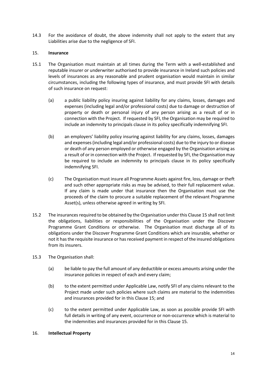14.3 For the avoidance of doubt, the above indemnity shall not apply to the extent that any Liabilities arise due to the negligence of SFI.

## <span id="page-12-0"></span>15. **Insurance**

- 15.1 The Organisation must maintain at all times during the Term with a well-established and reputable insurer or underwriter authorised to provide insurance in Ireland such policies and levels of insurances as any reasonable and prudent organisation would maintain in similar circumstances, including the following types of insurance, and must provide SFI with details of such insurance on request:
	- (a) a public liability policy insuring against liability for any claims, losses, damages and expenses (including legal and/or professional costs) due to damage or destruction of property or death or personal injury of any person arising as a result of or in connection with the Project. If requested by SFI, the Organisation may be required to include an indemnity to principals clause in its policy specifically indemnifying SFI.
	- (b) an employers' liability policy insuring against liability for any claims, losses, damages and expenses (including legal and/or professional costs) due to the injury to or disease or death of any person employed or otherwise engaged by the Organisation arising as a result of or in connection with the Project. If requested by SFI, the Organisation may be required to include an indemnity to principals clause in its policy specifically indemnifying SFI.
	- (c) The Organisation must insure all Programme Assets against fire, loss, damage or theft and such other appropriate risks as may be advised, to their full replacement value. If any claim is made under that insurance then the Organisation must use the proceeds of the claim to procure a suitable replacement of the relevant Programme Asset(s), unless otherwise agreed in writing by SFI.
- 15.2 The insurances required to be obtained by the Organisation under this Claus[e 15](#page-12-0) shall not limit the obligations, liabilities or responsibilities of the Organisation under the Discover Programme Grant Conditions or otherwise. The Organisation must discharge all of its obligations under the Discover Programme Grant Conditions which are insurable, whether or not it has the requisite insurance or has received payment in respect of the insured obligations from its insurers.
- 15.3 The Organisation shall:
	- (a) be liable to pay the full amount of any deductible or excess amounts arising under the insurance policies in respect of each and every claim;
	- (b) to the extent permitted under Applicable Law, notify SFI of any claims relevant to the Project made under such policies where such claims are material to the indemnities and insurances provided for in this Claus[e 15;](#page-12-0) and
	- (c) to the extent permitted under Applicable Law, as soon as possible provide SFI with full details in writing of any event, occurrence or non-occurrence which is material to the indemnities and insurances provided for in this Clause [15.](#page-12-0)

## 16. **Intellectual Property**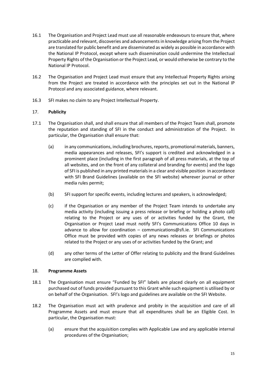- 16.1 The Organisation and Project Lead must use all reasonable endeavours to ensure that, where practicable and relevant, discoveries and advancements in knowledge arising from the Project are translated for public benefit and are disseminated as widely as possible in accordance with the National IP Protocol, except where such dissemination could undermine the Intellectual Property Rights of the Organisation or the Project Lead, or would otherwise be contrary to the National IP Protocol.
- 16.2 The Organisation and Project Lead must ensure that any Intellectual Property Rights arising from the Project are treated in accordance with the principles set out in the National IP Protocol and any associated guidance, where relevant.
- 16.3 SFI makes no claim to any Project Intellectual Property.

# <span id="page-13-0"></span>17. **Publicity**

- 17.1 The Organisation shall, and shall ensure that all members of the Project Team shall, promote the reputation and standing of SFI in the conduct and administration of the Project. In particular, the Organisation shall ensure that:
	- (a) in any communications, including brochures, reports, promotional materials, banners, media appearances and releases, SFI's support is credited and acknowledged in a prominent place (including in the first paragraph of all press materials, at the top of all websites, and on the front of any collateral and branding for events) and the logo of SFI is published in any printed materials in a clear and visible position in accordance with SFI Brand Guidelines (available on the SFI website) wherever journal or other media rules permit;
	- (b) SFI support for specific events, including lectures and speakers, is acknowledged;
	- (c) if the Organisation or any member of the Project Team intends to undertake any media activity (including issuing a press release or briefing or holding a photo call) relating to the Project or any uses of or activities funded by the Grant, the Organisation or Project Lead must notify SFI's Communications Office 10 days in advance to allow for coordination – communications@sfi.ie. SFI Communications Office must be provided with copies of any news releases or briefings or photos related to the Project or any uses of or activities funded by the Grant; and
	- (d) any other terms of the Letter of Offer relating to publicity and the Brand Guidelines are complied with.

## 18. **Programme Assets**

- 18.1 The Organisation must ensure "Funded by SFI" labels are placed clearly on all equipment purchased out of funds provided pursuant to this Grant while such equipment is utilised by or on behalf of the Organisation. SFI's logo and guidelines are available on the SFI Website.
- 18.2 The Organisation must act with prudence and probity in the acquisition and care of all Programme Assets and must ensure that all expenditures shall be an Eligible Cost. In particular, the Organisation must:
	- (a) ensure that the acquisition complies with Applicable Law and any applicable internal procedures of the Organisation;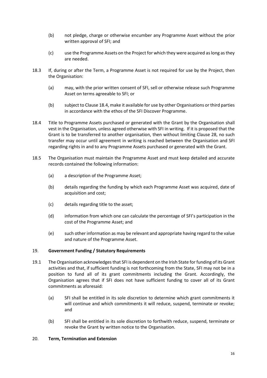- (b) not pledge, charge or otherwise encumber any Programme Asset without the prior written approval of SFI; and
- (c) use the Programme Assets on the Project for which they were acquired as long as they are needed.
- 18.3 If, during or after the Term, a Programme Asset is not required for use by the Project, then the Organisation:
	- (a) may, with the prior written consent of SFI, sell or otherwise release such Programme Asset on terms agreeable to SFI; or
	- (b) subject to Claus[e 18.4,](#page-14-0) make it available for use by other Organisations or third parties in accordance with the ethos of the SFI Discover Programme.
- <span id="page-14-0"></span>18.4 Title to Programme Assets purchased or generated with the Grant by the Organisation shall vest in the Organisation, unless agreed otherwise with SFI in writing. If it is proposed that the Grant is to be transferred to another organisation, then without limiting Clause [28,](#page-21-0) no such transfer may occur until agreement in writing is reached between the Organisation and SFI regarding rights in and to any Programme Assets purchased or generated with the Grant.
- 18.5 The Organisation must maintain the Programme Asset and must keep detailed and accurate records contained the following information:
	- (a) a description of the Programme Asset;
	- (b) details regarding the funding by which each Programme Asset was acquired, date of acquisition and cost;
	- (c) details regarding title to the asset;
	- (d) information from which one can calculate the percentage of SFI's participation in the cost of the Programme Asset; and
	- (e) such other information as may be relevant and appropriate having regard to the value and nature of the Programme Asset.

## 19. **Government Funding / Statutory Requirements**

- 19.1 The Organisation acknowledges that SFI is dependent on the Irish State for funding of its Grant activities and that, if sufficient funding is not forthcoming from the State, SFI may not be in a position to fund all of its grant commitments including the Grant. Accordingly, the Organisation agrees that if SFI does not have sufficient funding to cover all of its Grant commitments as aforesaid:
	- (a) SFI shall be entitled in its sole discretion to determine which grant commitments it will continue and which commitments it will reduce, suspend, terminate or revoke; and
	- (b) SFI shall be entitled in its sole discretion to forthwith reduce, suspend, terminate or revoke the Grant by written notice to the Organisation.

## 20. **Term, Termination and Extension**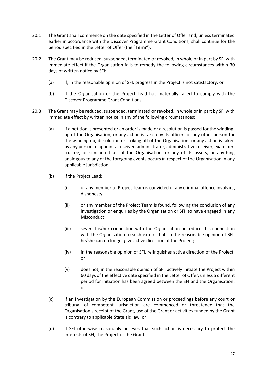- <span id="page-15-0"></span>20.1 The Grant shall commence on the date specified in the Letter of Offer and, unless terminated earlier in accordance with the Discover Programme Grant Conditions, shall continue for the period specified in the Letter of Offer (the "**Term**").
- <span id="page-15-1"></span>20.2 The Grant may be reduced, suspended, terminated or revoked, in whole or in part by SFI with immediate effect if the Organisation fails to remedy the following circumstances within 30 days of written notice by SFI:
	- (a) if, in the reasonable opinion of SFI, progress in the Project is not satisfactory; or
	- (b) if the Organisation or the Project Lead has materially failed to comply with the Discover Programme Grant Conditions.
- <span id="page-15-2"></span>20.3 The Grant may be reduced, suspended, terminated or revoked, in whole or in part by SFI with immediate effect by written notice in any of the following circumstances:
	- (a) if a petition is presented or an order is made or a resolution is passed for the windingup of the Organisation, or any action is taken by its officers or any other person for the winding-up, dissolution or striking off of the Organisation; or any action is taken by any person to appoint a receiver, administrator, administrative receiver, examiner, trustee, or similar officer of the Organisation, or any of its assets, or anything analogous to any of the foregoing events occurs in respect of the Organisation in any applicable jurisdiction;
	- (b) if the Project Lead:
		- (i) or any member of Project Team is convicted of any criminal offence involving dishonesty;
		- (ii) or any member of the Project Team is found, following the conclusion of any investigation or enquiries by the Organisation or SFI, to have engaged in any Misconduct;
		- (iii) severs his/her connection with the Organisation or reduces his connection with the Organisation to such extent that, in the reasonable opinion of SFI, he/she can no longer give active direction of the Project;
		- (iv) in the reasonable opinion of SFI, relinquishes active direction of the Project; or
		- (v) does not, in the reasonable opinion of SFI, actively initiate the Project within 60 days of the effective date specified in the Letter of Offer, unless a different period for initiation has been agreed between the SFI and the Organisation; or
	- (c) if an investigation by the European Commission or proceedings before any court or tribunal of competent jurisdiction are commenced or threatened that the Organisation's receipt of the Grant, use of the Grant or activities funded by the Grant is contrary to applicable State aid law; or
	- (d) if SFI otherwise reasonably believes that such action is necessary to protect the interests of SFI, the Project or the Grant.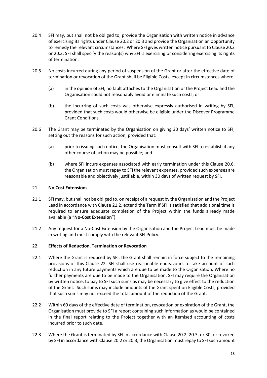- 20.4 SFI may, but shall not be obliged to, provide the Organisation with written notice in advance of exercising its rights under Clause [20.2](#page-15-1) o[r 20.3](#page-15-2) and provide the Organisation an opportunity to remedy the relevant circumstances. Where SFI gives written notice pursuant to Clause [20.2](#page-15-1) or [20.3,](#page-15-2) SFI shall specify the reason(s) why SFI is exercising or considering exercising its rights of termination.
- 20.5 No costs incurred during any period of suspension of the Grant or after the effective date of termination or revocation of the Grant shall be Eligible Costs, except in circumstances where:
	- (a) in the opinion of SFI, no fault attaches to the Organisation or the Project Lead and the Organisation could not reasonably avoid or eliminate such costs; or
	- (b) the incurring of such costs was otherwise expressly authorised in writing by SFI, provided that such costs would otherwise be eligible under the Discover Programme Grant Conditions.
- <span id="page-16-0"></span>20.6 The Grant may be terminated by the Organisation on giving 30 days' written notice to SFI, setting out the reasons for such action, provided that:
	- (a) prior to issuing such notice, the Organisation must consult with SFI to establish if any other course of action may be possible; and
	- (b) where SFI incurs expenses associated with early termination under this Clause [20.6,](#page-16-0) the Organisation must repay to SFI the relevant expenses, provided such expenses are reasonable and objectively justifiable, within 30 days of written request by SFI.

## 21. **No Cost Extensions**

- 21.1 SFI may, but shall not be obliged to, on receipt of a request by the Organisation and the Project Lead in accordance with Clause [21.2,](#page-16-1) extend the Term if SFI is satisfied that additional time is required to ensure adequate completion of the Project within the funds already made available (a "**No-Cost Extension**").
- <span id="page-16-1"></span>21.2 Any request for a No-Cost Extension by the Organisation and the Project Lead must be made in writing and must comply with the relevant SFI Policy.

## <span id="page-16-2"></span>22. **Effects of Reduction, Termination or Revocation**

- <span id="page-16-3"></span>22.1 Where the Grant is reduced by SFI, the Grant shall remain in force subject to the remaining provisions of this Clause [22.](#page-16-2) SFI shall use reasonable endeavours to take account of such reduction in any future payments which are due to be made to the Organisation. Where no further payments are due to be made to the Organisation, SFI may require the Organisation by written notice, to pay to SFI such sums as may be necessary to give effect to the reduction of the Grant. Such sums may include amounts of the Grant spent on Eligible Costs, provided that such sums may not exceed the total amount of the reduction of the Grant.
- 22.2 Within 60 days of the effective date of termination, revocation or expiration of the Grant, the Organisation must provide to SFI a report containing such information as would be contained in the final report relating to the Project together with an itemised accounting of costs incurred prior to such date.
- <span id="page-16-4"></span>22.3 Where the Grant is terminated by SFI in accordance with Clause [20.2,](#page-15-1) [20.3,](#page-15-2) or [30,](#page-22-0) or revoked by SFI in accordance with Clause [20.2](#page-15-1) o[r 20.3,](#page-15-2) the Organisation must repay to SFI such amount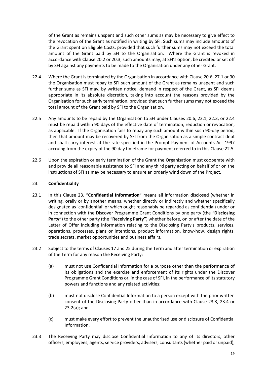of the Grant as remains unspent and such other sums as may be necessary to give effect to the revocation of the Grant as notified in writing by SFI. Such sums may include amounts of the Grant spent on Eligible Costs, provided that such further sums may not exceed the total amount of the Grant paid by SFI to the Organisation. Where the Grant is revoked in accordance with Clause [20.2](#page-15-1) or [20.3](#page-15-2), such amounts may, at SFI's option, be credited or set off by SFI against any payments to be made to the Organisation under any other Grant.

- <span id="page-17-1"></span>22.4 Where the Grant is terminated by the Organisation in accordance with Clause [20.6,](#page-16-0) [27.1](#page-20-1) o[r 30](#page-22-0) the Organisation must repay to SFI such amount of the Grant as remains unspent and such further sums as SFI may, by written notice, demand in respect of the Grant, as SFI deems appropriate in its absolute discretion, taking into account the reasons provided by the Organisation for such early termination, provided that such further sums may not exceed the total amount of the Grant paid by SFI to the Organisation.
- <span id="page-17-2"></span>22.5 Any amounts to be repaid by the Organisation to SFI under Clauses [20.6,](#page-16-0) [22.1,](#page-16-3) [22.3,](#page-16-4) or [22.4](#page-17-1) must be repaid within 90 days of the effective date of termination, reduction or revocation, as applicable. If the Organisation fails to repay any such amount within such 90-day period, then that amount may be recovered by SFI from the Organisation as a simple contract debt and shall carry interest at the rate specified in the Prompt Payment of Accounts Act 1997 accruing from the expiry of the 90 day timeframe for payment referred to in this Clause [22.5.](#page-17-2)
- 22.6 Upon the expiration or early termination of the Grant the Organisation must cooperate with and provide all reasonable assistance to SFI and any third party acting on behalf of or on the instructions of SFI as may be necessary to ensure an orderly wind down of the Project.

## <span id="page-17-0"></span>23. **Confidentiality**

- 23.1 In this Clause 23, "**Confidential Information**" means all information disclosed (whether in writing, orally or by another means, whether directly or indirectly and whether specifically designated as 'confidential' or which ought reasonably be regarded as confidential) under or in connection with the Discover Programme Grant Conditions by one party (the "**Disclosing Party"**) to the other party (the "**Receiving Party"**) whether before, on or after the date of the Letter of Offer including information relating to the Disclosing Party's products, services, operations, processes, plans or intentions, product information, know-how, design rights, trade secrets, market opportunities and business affairs.
- <span id="page-17-4"></span>23.2 Subject to the terms of Clauses [17](#page-13-0) an[d 25](#page-19-1) during the Term and after termination or expiration of the Term for any reason the Receiving Party:
	- (a) must not use Confidential Information for a purpose other than the performance of its obligations and the exercise and enforcement of its rights under the Discover Programme Grant Conditions or, in the case of SFI, in the performance of its statutory powers and functions and any related activities;
	- (b) must not disclose Confidential Information to a person except with the prior written consent of the Disclosing Party other than in accordance with Clause [23.3,](#page-17-3) [23.4](#page-18-0) or [23.2\(a\);](#page-17-4) and
	- (c) must make every effort to prevent the unauthorised use or disclosure of Confidential Information.
- <span id="page-17-3"></span>23.3 The Receiving Party may disclose Confidential Information to any of its directors, other officers, employees, agents, service providers, advisers, consultants (whether paid or unpaid),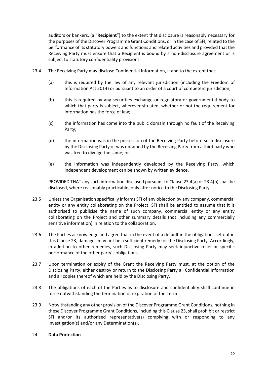auditors or bankers, (a "**Recipient"**) to the extent that disclosure is reasonably necessary for the purposes of the Discover Programme Grant Conditions, or in the case of SFI, related to the performance of its statutory powers and functions and related activities and provided that the Receiving Party must ensure that a Recipient is bound by a non-disclosure agreement or is subject to statutory confidentiality provisions.

- <span id="page-18-2"></span><span id="page-18-1"></span><span id="page-18-0"></span>23.4 The Receiving Party may disclose Confidential Information, if and to the extent that:
	- (a) this is required by the law of any relevant jurisdiction (including the Freedom of Information Act 2014) or pursuant to an order of a court of competent jurisdiction;
	- (b) this is required by any securities exchange or regulatory or governmental body to which that party is subject, wherever situated, whether or not the requirement for information has the force of law;
	- (c) the information has come into the public domain through no fault of the Receiving Party;
	- (d) the information was in the possession of the Receiving Party before such disclosure by the Disclosing Party or was obtained by the Receiving Party from a third party who was free to divulge the same; or
	- (e) the information was independently developed by the Receiving Party, which independent development can be shown by written evidence,

PROVIDED THAT any such information disclosed pursuant to Claus[e 23.4\(a\)](#page-18-1) o[r 23.4\(b\)](#page-18-2) shall be disclosed, where reasonably practicable, only after notice to the Disclosing Party.

- 23.5 Unless the Organisation specifically informs SFI of any objection by any company, commercial entity or any entity collaborating on the Project, SFI shall be entitled to assume that it is authorised to publicise the name of such company, commercial entity or any entity collaborating on the Project and other summary details (not including any commercially sensitive information) in relation to the collaboration.
- 23.6 The Parties acknowledge and agree that in the event of a default in the obligations set out in this Clause [23,](#page-17-0) damages may not be a sufficient remedy for the Disclosing Party. Accordingly, in addition to other remedies, such Disclosing Party may seek injunctive relief or specific performance of the other party's obligations.
- 23.7 Upon termination or expiry of the Grant the Receiving Party must, at the option of the Disclosing Party, either destroy or return to the Disclosing Party all Confidential Information and all copies thereof which are held by the Disclosing Party.
- 23.8 The obligations of each of the Parties as to disclosure and confidentiality shall continue in force notwithstanding the termination or expiration of the Term.
- 23.9 Notwithstanding any other provision of the Discover Programme Grant Conditions, nothing in these Discover Programme Grant Conditions, including this Claus[e 23,](#page-17-0) shall prohibit or restrict SFI and/or its authorised representative(s) complying with or responding to any Investigation(s) and/or any Determination(s).

## 24. **Data Protection**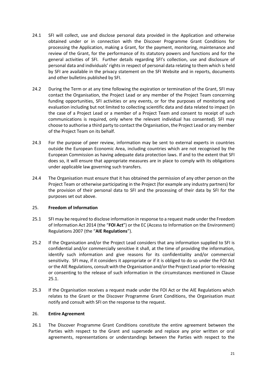- <span id="page-19-0"></span>24.1 SFI will collect, use and disclose personal data provided in the Application and otherwise obtained under or in connection with the Discover Programme Grant Conditions for processing the Application, making a Grant, for the payment, monitoring, maintenance and review of the Grant, for the performance of its statutory powers and functions and for the general activities of SFI. Further details regarding SFI's collection, use and disclosure of personal data and individuals' rights in respect of personal data relating to them which is held by SFI are available in the privacy statement on the SFI Website and in reports, documents and other bulletins published by SFI.
- 24.2 During the Term or at any time following the expiration or termination of the Grant, SFI may contact the Organisation, the Project Lead or any member of the Project Team concerning funding opportunities, SFI activities or any events, or for the purposes of monitoring and evaluation including but not limited to collecting scientific data and data related to impact (in the case of a Project Lead or a member of a Project Team and consent to receipt of such communications is required, only where the relevant individual has consented). SFI may choose to authorise a third party to contact the Organisation, the Project Lead or any member of the Project Team on its behalf.
- 24.3 For the purpose of peer review, information may be sent to external experts in countries outside the European Economic Area, including countries which are not recognised by the European Commission as having adequate data protection laws. If and to the extent that SFI does so, it will ensure that appropriate measures are in place to comply with its obligations under applicable law governing such transfers.
- 24.4 The Organisation must ensure that it has obtained the permission of any other person on the Project Team or otherwise participating in the Project (for example any industry partners) for the provision of their personal data to SFI and the processing of their data by SFI for the purposes set out above.

## <span id="page-19-1"></span>25. **Freedom of Information**

- <span id="page-19-2"></span>25.1 SFI may be required to disclose information in response to a request made under the Freedom of Information Act 2014 (the "**FOI Act**") or the EC (Access to Information on the Environment) Regulations 2007 (the "**AIE Regulations**").
- 25.2 If the Organisation and/or the Project Lead considers that any information supplied to SFI is confidential and/or commercially sensitive it shall, at the time of providing the information, identify such information and give reasons for its confidentiality and/or commercial sensitivity. SFI may, if it considers it appropriate or if it is obliged to do so under the FOI Act or the AIE Regulations, consult with the Organisation and/or the Project Lead prior to releasing or consenting to the release of such information in the circumstances mentioned in Clause [25.1.](#page-19-2)
- 25.3 If the Organisation receives a request made under the FOI Act or the AIE Regulations which relates to the Grant or the Discover Programme Grant Conditions, the Organisation must notify and consult with SFI on the response to the request.

## 26. **Entire Agreement**

26.1 The Discover Programme Grant Conditions constitute the entire agreement between the Parties with respect to the Grant and supersede and replace any prior written or oral agreements, representations or understandings between the Parties with respect to the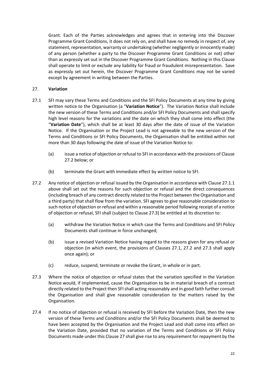Grant. Each of the Parties acknowledges and agrees that in entering into the Discover Programme Grant Conditions, it does not rely on, and shall have no remedy in respect of, any statement, representation, warranty or undertaking (whether negligently or innocently made) of any person (whether a party to the Discover Programme Grant Conditions or not) other than as expressly set out in the Discover Programme Grant Conditions. Nothing in this Clause shall operate to limit or exclude any liability for fraud or fraudulent misrepresentation. Save as expressly set out herein, the Discover Programme Grant Conditions may not be varied except by agreement in writing between the Parties.

## <span id="page-20-0"></span>27. **Variation**

- <span id="page-20-1"></span>27.1 SFI may vary these Terms and Conditions and the SFI Policy Documents at any time by giving written notice to the Organisation (a "**Variation Notice**"). The Variation Notice shall include the new version of these Terms and Conditions and/or SFI Policy Documents and shall specify high level reasons for the variations and the date on which they shall come into effect (the "**Variation Date**"), which shall be at least 30 days after the date of issue of the Variation Notice. If the Organisation or the Project Lead is not agreeable to the new version of the Terms and Conditions or SFI Policy Documents, the Organisation shall be entitled within not more than 30 days following the date of issue of the Variation Notice to:
	- (a) issue a notice of objection or refusal to SFI in accordance with the provisions of Clause [27.2](#page-20-2) below; or
	- (b) terminate the Grant with immediate effect by written notice to SFI.
- <span id="page-20-2"></span>27.2 Any notice of objection or refusal issued by the Organisation in accordance with Clause 27.1.1 above shall set out the reasons for such objection or refusal and the direct consequences (including breach of any contract directly related to the Project between the Organisation and a third party) that shall flow from the variation. SFI agrees to give reasonable consideration to such notice of objection or refusal and within a reasonable period following receipt of a notice of objection or refusal, SFI shall (subject to Clause 27.3) be entitled at its discretion to:
	- (a) withdraw the Variation Notice in which case the Terms and Conditions and SFI Policy Documents shall continue in force unchanged;
	- (b) issue a revised Variation Notice having regard to the reasons given for any refusal or objection (in which event, the provisions of Clauses [27.1,](#page-20-1) [27.2](#page-20-2) and [27.3](#page-20-3) shall apply once again); or
	- (c) reduce, suspend, terminate or revoke the Grant, in whole or in part.
- <span id="page-20-3"></span>27.3 Where the notice of objection or refusal states that the variation specified in the Variation Notice would, if implemented, cause the Organisation to be in material breach of a contract directly related to the Project then SFI shall acting reasonably and in good faith further consult the Organisation and shall give reasonable consideration to the matters raised by the Organisation.
- 27.4 If no notice of objection or refusal is received by SFI before the Variation Date, then the new version of these Terms and Conditions and/or the SFI Policy Documents shall be deemed to have been accepted by the Organisation and the Project Lead and shall come into effect on the Variation Date, provided that no variation of the Terms and Conditions or SFI Policy Documents made under this Clause [27](#page-20-0) shall give rise to any requirement for repayment by the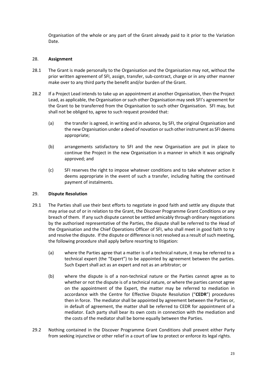Organisation of the whole or any part of the Grant already paid to it prior to the Variation Date.

## <span id="page-21-0"></span>28. **Assignment**

- 28.1 The Grant is made personally to the Organisation and the Organisation may not, without the prior written agreement of SFI, assign, transfer, sub-contract, charge or in any other manner make over to any third party the benefit and/or burden of the Grant.
- 28.2 If a Project Lead intends to take up an appointment at another Organisation, then the Project Lead, as applicable, the Organisation or such other Organisation may seek SFI's agreement for the Grant to be transferred from the Organisation to such other Organisation. SFI may, but shall not be obliged to, agree to such request provided that:
	- (a) the transfer is agreed, in writing and in advance, by SFI, the original Organisation and the new Organisation under a deed of novation or such other instrument as SFI deems appropriate;
	- (b) arrangements satisfactory to SFI and the new Organisation are put in place to continue the Project in the new Organisation in a manner in which it was originally approved; and
	- (c) SFI reserves the right to impose whatever conditions and to take whatever action it deems appropriate in the event of such a transfer, including halting the continued payment of instalments.

## <span id="page-21-1"></span>29. **Dispute Resolution**

- 29.1 The Parties shall use their best efforts to negotiate in good faith and settle any dispute that may arise out of or in relation to the Grant, the Discover Programme Grant Conditions or any breach of them. If any such dispute cannot be settled amicably through ordinary negotiations by the authorised representative of the Parties, the dispute shall be referred to the Head of the Organisation and the Chief Operations Officer of SFI, who shall meet in good faith to try and resolve the dispute. If the dispute or difference is not resolved as a result of such meeting, the following procedure shall apply before resorting to litigation:
	- (a) where the Parties agree that a matter is of a technical nature, it may be referred to a technical expert (the "Expert") to be appointed by agreement between the parties. Such Expert shall act as an expert and not as an arbitrator; or
	- (b) where the dispute is of a non-technical nature or the Parties cannot agree as to whether or not the dispute is of a technical nature, or where the parties cannot agree on the appointment of the Expert, the matter may be referred to mediation in accordance with the Centre for Effective Dispute Resolution ("**CEDR**") procedures then in force. The mediator shall be appointed by agreement between the Parties or, in default of agreement, the matter shall be referred to CEDR for appointment of a mediator. Each party shall bear its own costs in connection with the mediation and the costs of the mediator shall be borne equally between the Parties.
- 29.2 Nothing contained in the Discover Programme Grant Conditions shall prevent either Party from seeking injunctive or other relief in a court of law to protect or enforce its legal rights.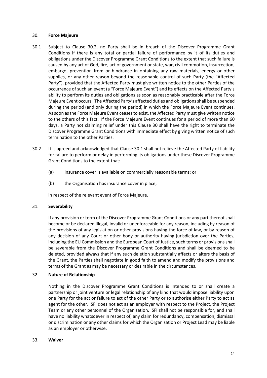#### <span id="page-22-0"></span>30. **Force Majeure**

- 30.1 Subject to Clause 30.2, no Party shall be in breach of the Discover Programme Grant Conditions if there is any total or partial failure of performance by it of its duties and obligations under the Discover Programme Grant Conditions to the extent that such failure is caused by any act of God, fire, act of government or state, war, civil commotion, insurrection, embargo, prevention from or hindrance in obtaining any raw materials, energy or other supplies, or any other reason beyond the reasonable control of such Party (the "Affected Party"), provided that the Affected Party must give written notice to the other Parties of the occurrence of such an event (a "Force Majeure Event") and its effects on the Affected Party's ability to perform its duties and obligations as soon as reasonably practicable after the Force Majeure Event occurs. The Affected Party's affected duties and obligations shall be suspended during the period (and only during the period) in which the Force Majeure Event continues. As soon as the Force Majeure Event ceasesto exist, the Affected Party must give written notice to the others of this fact. If the Force Majeure Event continues for a period of more than 60 days, a Party not claiming relief under this Clause [30](#page-22-0) shall have the right to terminate the Discover Programme Grant Conditions with immediate effect by giving written notice of such termination to the other Parties.
- 30.2 It is agreed and acknowledged that Clause 30.1 shall not relieve the Affected Party of liability for failure to perform or delay in performing its obligations under these Discover Programme Grant Conditions to the extent that:
	- (a) insurance cover is available on commercially reasonable terms; or
	- (b) the Organisation has insurance cover in place;

in respect of the relevant event of Force Majeure.

## 31. **Severability**

If any provision or term of the Discover Programme Grant Conditions or any part thereof shall become or be declared illegal, invalid or unenforceable for any reason, including by reason of the provisions of any legislation or other provisions having the force of law, or by reason of any decision of any Court or other body or authority having jurisdiction over the Parties, including the EU Commission and the European Court of Justice, such terms or provisions shall be severable from the Discover Programme Grant Conditions and shall be deemed to be deleted, provided always that if any such deletion substantially affects or alters the basis of the Grant, the Parties shall negotiate in good faith to amend and modify the provisions and terms of the Grant as may be necessary or desirable in the circumstances.

## 32. **Nature of Relationship**

Nothing in the Discover Programme Grant Conditions is intended to or shall create a partnership or joint venture or legal relationship of any kind that would impose liability upon one Party for the act or failure to act of the other Party or to authorise either Party to act as agent for the other. SFI does not act as an employer with respect to the Project, the Project Team or any other personnel of the Organisation. SFI shall not be responsible for, and shall have no liability whatsoever in respect of, any claim for redundancy, compensation, dismissal or discrimination or any other claims for which the Organisation or Project Lead may be liable as an employer or otherwise.

## 33. **Waiver**